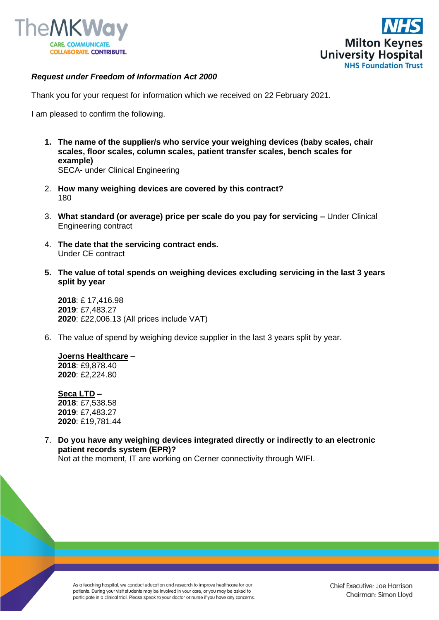



## *Request under Freedom of Information Act 2000*

Thank you for your request for information which we received on 22 February 2021.

I am pleased to confirm the following.

- **1. The name of the supplier/s who service your weighing devices (baby scales, chair scales, floor scales, column scales, patient transfer scales, bench scales for example)**  SECA- under Clinical Engineering
- 2. **How many weighing devices are covered by this contract?** 180
- 3. **What standard (or average) price per scale do you pay for servicing –** Under Clinical Engineering contract
- 4. **The date that the servicing contract ends.** Under CE contract
- **5. The value of total spends on weighing devices excluding servicing in the last 3 years split by year**

**2018**: £ 17,416.98 **2019**: £7,483.27 **2020**: £22,006.13 (All prices include VAT)

6. The value of spend by weighing device supplier in the last 3 years split by year.

**Joerns Healthcare** – **2018**: £9,878.40 **2020**: £2,224.80

**Seca LTD –**  : £7,538.58 : £7,483.27 : £19,781.44

7. **Do you have any weighing devices integrated directly or indirectly to an electronic patient records system (EPR)?** Not at the moment, IT are working on Cerner connectivity through WIFI.

As a teaching hospital, we conduct education and research to improve healthcare for our patients. During your visit students may be involved in your care, or you may be asked to participate in a clinical trial. Please speak to your doctor or nurse if you have any concerns.